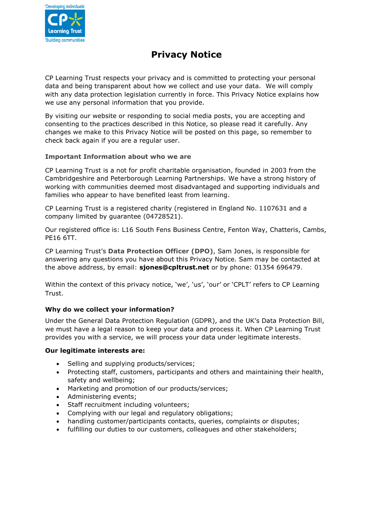

# **Privacy Notice**

CP Learning Trust respects your privacy and is committed to protecting your personal data and being transparent about how we collect and use your data. We will comply with any data protection legislation currently in force. This Privacy Notice explains how we use any personal information that you provide.

By visiting our website or responding to social media posts, you are accepting and consenting to the practices described in this Notice, so please read it carefully. Any changes we make to this Privacy Notice will be posted on this page, so remember to check back again if you are a regular user.

# **Important Information about who we are**

CP Learning Trust is a not for profit charitable organisation, founded in 2003 from the Cambridgeshire and Peterborough Learning Partnerships. We have a strong history of working with communities deemed most disadvantaged and supporting individuals and families who appear to have benefited least from learning.

CP Learning Trust is a registered charity (registered in England No. 1107631 and a company limited by guarantee (04728521).

Our registered office is: L16 South Fens Business Centre, Fenton Way, Chatteris, Cambs, PE16 6TT.

CP Learning Trust's **Data Protection Officer (DPO)**, Sam Jones, is responsible for answering any questions you have about this Privacy Notice. Sam may be contacted at the above address, by email: **sjones@cpltrust.net** or by phone: 01354 696479.

Within the context of this privacy notice, 'we', 'us', 'our' or 'CPLT' refers to CP Learning Trust.

# **Why do we collect your information?**

Under the General Data Protection Regulation (GDPR), and the UK's Data Protection Bill, we must have a legal reason to keep your data and process it. When CP Learning Trust provides you with a service, we will process your data under legitimate interests.

#### **Our legitimate interests are:**

- Selling and supplying products/services;
- Protecting staff, customers, participants and others and maintaining their health, safety and wellbeing;
- Marketing and promotion of our products/services;
- Administering events;
- Staff recruitment including volunteers;
- Complying with our legal and regulatory obligations;
- handling customer/participants contacts, queries, complaints or disputes;
- fulfilling our duties to our customers, colleagues and other stakeholders;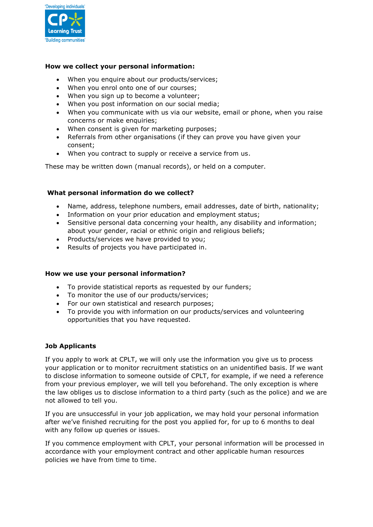

## **How we collect your personal information:**

- When you enquire about our products/services:
- When you enrol onto one of our courses;
- When you sign up to become a volunteer;
- When you post information on our social media;
- When you communicate with us via our website, email or phone, when you raise concerns or make enquiries;
- When consent is given for marketing purposes;
- Referrals from other organisations (if they can prove you have given your consent;
- When you contract to supply or receive a service from us.

These may be written down (manual records), or held on a computer.

## **What personal information do we collect?**

- Name, address, telephone numbers, email addresses, date of birth, nationality;
- Information on your prior education and employment status;
- Sensitive personal data concerning your health, any disability and information; about your gender, racial or ethnic origin and religious beliefs;
- Products/services we have provided to you;
- Results of projects you have participated in.

#### **How we use your personal information?**

- To provide statistical reports as requested by our funders;
- To monitor the use of our products/services;
- For our own statistical and research purposes;
- To provide you with information on our products/services and volunteering opportunities that you have requested.

#### **Job Applicants**

If you apply to work at CPLT, we will only use the information you give us to process your application or to monitor recruitment statistics on an unidentified basis. If we want to disclose information to someone outside of CPLT, for example, if we need a reference from your previous employer, we will tell you beforehand. The only exception is where the law obliges us to disclose information to a third party (such as the police) and we are not allowed to tell you.

If you are unsuccessful in your job application, we may hold your personal information after we've finished recruiting for the post you applied for, for up to 6 months to deal with any follow up queries or issues.

If you commence employment with CPLT, your personal information will be processed in accordance with your employment contract and other applicable human resources policies we have from time to time.